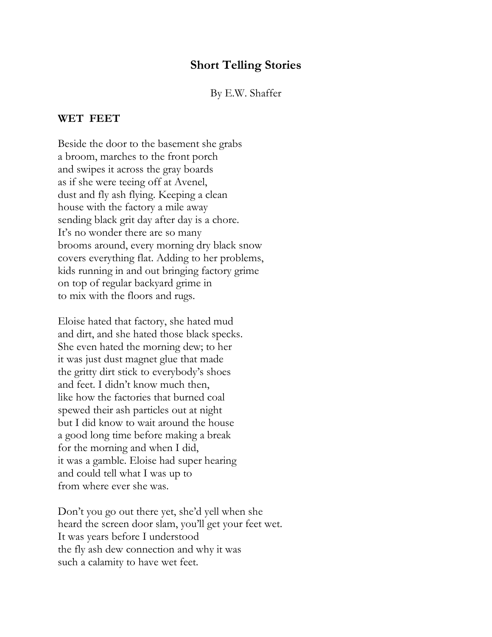## **Short Telling Stories**

By E.W. Shaffer

## **WET FEET**

Beside the door to the basement she grabs a broom, marches to the front porch and swipes it across the gray boards as if she were teeing off at Avenel, dust and fly ash flying. Keeping a clean house with the factory a mile away sending black grit day after day is a chore. It's no wonder there are so many brooms around, every morning dry black snow covers everything flat. Adding to her problems, kids running in and out bringing factory grime on top of regular backyard grime in to mix with the floors and rugs.

Eloise hated that factory, she hated mud and dirt, and she hated those black specks. She even hated the morning dew; to her it was just dust magnet glue that made the gritty dirt stick to everybody's shoes and feet. I didn't know much then, like how the factories that burned coal spewed their ash particles out at night but I did know to wait around the house a good long time before making a break for the morning and when I did, it was a gamble. Eloise had super hearing and could tell what I was up to from where ever she was.

Don't you go out there yet, she'd yell when she heard the screen door slam, you'll get your feet wet. It was years before I understood the fly ash dew connection and why it was such a calamity to have wet feet.